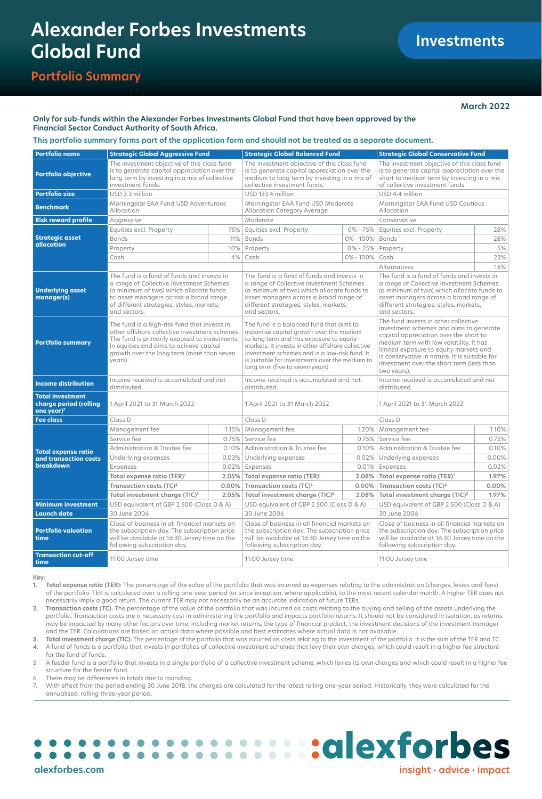# **Alexander Forbes Investments Global Fund**

# **Portfolio Summary**

# **March 2022**

# **Only for sub-funds within the Alexander Forbes Investments Global Fund that have been approved by the Financial Sector Conduct Authority of South Africa.**

# **This portfolio summary forms part of the application form and should not be treated as a separate document.**

| <b>Portfolio name</b>                                                       | <b>Strategic Global Aggressive Fund</b>                                                                                                                                                                                                                                                                                                                                                                                                                                                                                                                                        |                                                                                                                                                                                                                                          | <b>Strategic Global Balanced Fund</b>                                                                                                                                         |                                                                                                                                                                                                                                                                                                                             | <b>Strategic Global Conservative Fund</b>                                                                                                                                     |          |
|-----------------------------------------------------------------------------|--------------------------------------------------------------------------------------------------------------------------------------------------------------------------------------------------------------------------------------------------------------------------------------------------------------------------------------------------------------------------------------------------------------------------------------------------------------------------------------------------------------------------------------------------------------------------------|------------------------------------------------------------------------------------------------------------------------------------------------------------------------------------------------------------------------------------------|-------------------------------------------------------------------------------------------------------------------------------------------------------------------------------|-----------------------------------------------------------------------------------------------------------------------------------------------------------------------------------------------------------------------------------------------------------------------------------------------------------------------------|-------------------------------------------------------------------------------------------------------------------------------------------------------------------------------|----------|
| <b>Portfolio objective</b>                                                  | The investment objective of this class fund<br>is to generate capital appreciation over the<br>long term by investing in a mix of collective<br>investment funds.                                                                                                                                                                                                                                                                                                                                                                                                              |                                                                                                                                                                                                                                          | The investment objective of this class fund<br>is to generate capital appreciation over the<br>medium to long term by investing in a mix of<br>collective investment funds.   |                                                                                                                                                                                                                                                                                                                             | The investment objective of this class fund<br>is to generate capital appreciation over the<br>short to medium term by investing in a mix<br>of collective investment funds.  |          |
| <b>Portfolio size</b>                                                       | USD 3.3 million                                                                                                                                                                                                                                                                                                                                                                                                                                                                                                                                                                |                                                                                                                                                                                                                                          | USD 133.4 million                                                                                                                                                             |                                                                                                                                                                                                                                                                                                                             | USD 4.4 million                                                                                                                                                               |          |
| <b>Benchmark</b>                                                            | Morningstar EAA Fund USD Adventurous<br>Allocation                                                                                                                                                                                                                                                                                                                                                                                                                                                                                                                             |                                                                                                                                                                                                                                          | Morningstar EAA Fund USD Moderate<br>Allocation Category Average                                                                                                              |                                                                                                                                                                                                                                                                                                                             | Morningstar EAA Fund USD Cautious<br>Allocation                                                                                                                               |          |
| <b>Risk reward profile</b>                                                  | Aggressive                                                                                                                                                                                                                                                                                                                                                                                                                                                                                                                                                                     |                                                                                                                                                                                                                                          | Moderate                                                                                                                                                                      |                                                                                                                                                                                                                                                                                                                             | Conservative                                                                                                                                                                  |          |
|                                                                             | Equities excl. Property                                                                                                                                                                                                                                                                                                                                                                                                                                                                                                                                                        | 75%                                                                                                                                                                                                                                      | Equities excl. Property                                                                                                                                                       | $0\% - 75\%$                                                                                                                                                                                                                                                                                                                | Equities excl. Property                                                                                                                                                       | 28%      |
| <b>Strategic asset</b>                                                      | <b>Bonds</b>                                                                                                                                                                                                                                                                                                                                                                                                                                                                                                                                                                   | 11%                                                                                                                                                                                                                                      | <b>Bonds</b>                                                                                                                                                                  | 0% - 100%                                                                                                                                                                                                                                                                                                                   | <b>Bonds</b>                                                                                                                                                                  | 28%      |
| allocation                                                                  | Property                                                                                                                                                                                                                                                                                                                                                                                                                                                                                                                                                                       | 10%                                                                                                                                                                                                                                      | Property                                                                                                                                                                      | $0\% - 25\%$                                                                                                                                                                                                                                                                                                                | Property                                                                                                                                                                      | 5%       |
|                                                                             | Cash                                                                                                                                                                                                                                                                                                                                                                                                                                                                                                                                                                           | 4%                                                                                                                                                                                                                                       | Cash                                                                                                                                                                          | 0% - 100%                                                                                                                                                                                                                                                                                                                   | Cash                                                                                                                                                                          | 23%      |
|                                                                             |                                                                                                                                                                                                                                                                                                                                                                                                                                                                                                                                                                                |                                                                                                                                                                                                                                          |                                                                                                                                                                               |                                                                                                                                                                                                                                                                                                                             | Alternatives                                                                                                                                                                  | 16%      |
| <b>Underlying asset</b><br>manager(s)                                       | The fund is a fund of funds and invests in<br>a range of Collective Investment Schemes<br>(a minimum of two) which allocate funds<br>to asset managers across a broad range<br>of different strategies, styles, markets,<br>and sectors.                                                                                                                                                                                                                                                                                                                                       | The fund is a fund of funds and invests in<br>a range of Collective Investment Schemes<br>(a minimum of two) which allocate funds to<br>asset managers across a broad range of<br>different strategies, styles, markets,<br>and sectors. |                                                                                                                                                                               | The fund is a fund of funds and invests in<br>a range of Collective Investment Schemes<br>(a minimum of two) which allocate funds to<br>asset managers across a broad range of<br>different strategies, styles, markets,<br>and sectors.                                                                                    |                                                                                                                                                                               |          |
| <b>Portfolio summary</b>                                                    | The fund is a high-risk fund that invests in<br>The fund is a balanced fund that aims to<br>other offshore collective investment schemes.<br>maximise capital growth over the medium<br>The fund is primarily exposed to investments<br>to long term and has exposure to equity<br>in equities and aims to achieve capital<br>markets. It invests in other offshore collective<br>investment schemes and is a low-risk fund. It<br>growth over the long term (more than seven<br>is suitable for investments over the medium to<br>years).<br>long term (five to seven years). |                                                                                                                                                                                                                                          |                                                                                                                                                                               | The fund invests in other collective<br>investment schemes and aims to generate<br>capital appreciation over the short to<br>medium term with low volatility. It has<br>limited exposure to equity markets and<br>is conservative in nature. It is suitable for<br>investment over the short term (less than<br>two years). |                                                                                                                                                                               |          |
| <b>Income distribution</b>                                                  | Income received is accumulated and not<br>distributed.                                                                                                                                                                                                                                                                                                                                                                                                                                                                                                                         | Income received is accumulated and not<br>distributed.                                                                                                                                                                                   |                                                                                                                                                                               | Income received is accumulated and not<br>distributed                                                                                                                                                                                                                                                                       |                                                                                                                                                                               |          |
| <b>Total investment</b><br>charge period (rolling<br>one year) <sup>7</sup> | 1 April 2021 to 31 March 2022                                                                                                                                                                                                                                                                                                                                                                                                                                                                                                                                                  |                                                                                                                                                                                                                                          | 1 April 2021 to 31 March 2022                                                                                                                                                 |                                                                                                                                                                                                                                                                                                                             | 1 April 2021 to 31 March 2022                                                                                                                                                 |          |
| <b>Fee class</b>                                                            | Class D                                                                                                                                                                                                                                                                                                                                                                                                                                                                                                                                                                        |                                                                                                                                                                                                                                          | Class D                                                                                                                                                                       |                                                                                                                                                                                                                                                                                                                             | Class D                                                                                                                                                                       |          |
| <b>Total expense ratio</b><br>and transaction costs<br>breakdown            | Management fee                                                                                                                                                                                                                                                                                                                                                                                                                                                                                                                                                                 |                                                                                                                                                                                                                                          | 1.15%   Management fee                                                                                                                                                        | $1.20\%$                                                                                                                                                                                                                                                                                                                    | Management fee                                                                                                                                                                | 1.10%    |
|                                                                             | Service fee                                                                                                                                                                                                                                                                                                                                                                                                                                                                                                                                                                    |                                                                                                                                                                                                                                          | 0.75% Service fee                                                                                                                                                             | 0.75%                                                                                                                                                                                                                                                                                                                       | Service fee                                                                                                                                                                   | 0.75%    |
|                                                                             | Administration & Trustee fee                                                                                                                                                                                                                                                                                                                                                                                                                                                                                                                                                   |                                                                                                                                                                                                                                          | 0.10%   Administration & Trustee fee                                                                                                                                          |                                                                                                                                                                                                                                                                                                                             | 0.10%   Administration & Trustee fee                                                                                                                                          | 0.10%    |
|                                                                             | Underlying expenses                                                                                                                                                                                                                                                                                                                                                                                                                                                                                                                                                            | 0.03%                                                                                                                                                                                                                                    | Underlying expenses                                                                                                                                                           | 0.02%                                                                                                                                                                                                                                                                                                                       | Underlying expenses                                                                                                                                                           | $0.00\%$ |
|                                                                             | Expenses                                                                                                                                                                                                                                                                                                                                                                                                                                                                                                                                                                       | 0.02%                                                                                                                                                                                                                                    | Expenses                                                                                                                                                                      | 0.01%                                                                                                                                                                                                                                                                                                                       | Expenses                                                                                                                                                                      | 0.02%    |
|                                                                             | Total expense ratio (TER) <sup>1</sup>                                                                                                                                                                                                                                                                                                                                                                                                                                                                                                                                         |                                                                                                                                                                                                                                          | $2.05\%$ Total expense ratio (TER) <sup>1</sup>                                                                                                                               | 2.08%                                                                                                                                                                                                                                                                                                                       | Total expense ratio (TER) <sup>1</sup>                                                                                                                                        | 1.97%    |
|                                                                             | Transaction costs (TC) <sup>2</sup>                                                                                                                                                                                                                                                                                                                                                                                                                                                                                                                                            |                                                                                                                                                                                                                                          | 0.00% Transaction costs (TC) <sup>2</sup>                                                                                                                                     | $0.00\%$                                                                                                                                                                                                                                                                                                                    | Transaction costs (TC) <sup>2</sup>                                                                                                                                           | 0.00%    |
|                                                                             | Total investment charge (TIC) <sup>3</sup><br>2.05%                                                                                                                                                                                                                                                                                                                                                                                                                                                                                                                            |                                                                                                                                                                                                                                          | Total investment charge (TIC) <sup>3</sup><br>2.08%                                                                                                                           |                                                                                                                                                                                                                                                                                                                             | 1.97%<br>Total investment charge (TIC) <sup>3</sup>                                                                                                                           |          |
| <b>Minimum investment</b>                                                   | USD equivalent of GBP 2 500 (Class D & A)                                                                                                                                                                                                                                                                                                                                                                                                                                                                                                                                      |                                                                                                                                                                                                                                          | USD equivalent of GBP 2 500 (Class D & A)                                                                                                                                     |                                                                                                                                                                                                                                                                                                                             | USD equivalent of GBP 2 500 (Class D & A)                                                                                                                                     |          |
| <b>Launch date</b>                                                          | 30 June 2006                                                                                                                                                                                                                                                                                                                                                                                                                                                                                                                                                                   |                                                                                                                                                                                                                                          | 30 June 2006                                                                                                                                                                  |                                                                                                                                                                                                                                                                                                                             | 30 June 2006                                                                                                                                                                  |          |
| <b>Portfolio valuation</b><br>time                                          | Close of business in all financial markets on<br>the subscription day. The subscription price<br>will be available at 16:30 Jersey time on the<br>following subscription day.                                                                                                                                                                                                                                                                                                                                                                                                  |                                                                                                                                                                                                                                          | Close of business in all financial markets on<br>the subscription day. The subscription price<br>will be available at 16:30 Jersey time on the<br>following subscription day. |                                                                                                                                                                                                                                                                                                                             | Close of business in all financial markets on<br>the subscription day. The subscription price<br>will be available at 16:30 Jersey time on the<br>following subscription day. |          |
| <b>Transaction cut-off</b><br>time                                          | 11:00 Jersey time                                                                                                                                                                                                                                                                                                                                                                                                                                                                                                                                                              |                                                                                                                                                                                                                                          | 11:00 Jersey time                                                                                                                                                             |                                                                                                                                                                                                                                                                                                                             | 11:00 Jersey time                                                                                                                                                             |          |

**Key:**

**1. Total expense ratio (TER):** The percentage of the value of the portfolio that was incurred as expenses relating to the administration (charges, levies and fees) of the portfolio. TER is calculated over a rolling one-year period (or since inception, where applicable), to the most recent calendar month. A higher TER does not necessarily imply a good return. The current TER may not necessarily be an accurate indication of future TERs.

**2. Transaction costs (TC):** The percentage of the value of the portfolio that was incurred as costs relating to the buying and selling of the assets underlying the portfolio. Transaction costs are a necessary cost in administering the portfolio and impacts portfolio returns. It should not be considered in isolation, as returns may be impacted by many other factors over time, including market returns, the type of financial product, the investment decisions of the investment manager and the TER. Calculations are based on actual data where possible and best estimates where actual data is not available.

**3. Total investment charge (TIC):** The percentage of the portfolio that was incurred as costs relating to the investment of the portfolio. It is the sum of the TER and TC. 4. A fund of funds is a portfolio that invests in portfolios of collective investment schemes that levy their own charges, which could result in a higher fee structure for the fund of funds.

5. A feeder fund is a portfolio that invests in a single portfolio of a collective investment scheme, which levies its own charges and which could result in a higher fee structure for the feeder fund.

6. There may be differences in totals due to rounding.

7. With effect from the period ending 30 June 2018, the charges are calculated for the latest rolling one-year period. Historically, they were calculated for the annualised, rolling three-year period.

#### **:::::::::dlexforbes**  $\blacksquare$  $\bullet$  $\blacksquare$  $\bullet\bullet\bullet\bullet$  $\bullet$  $\bullet$ **[alexforbes.com](http://alexforbes.com)**  $insight \cdot advice \cdot impact$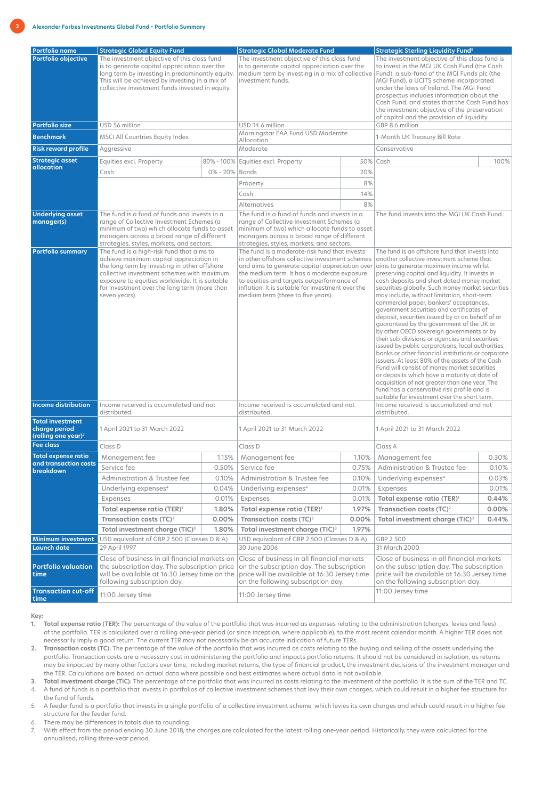| <b>Portfolio name</b><br><b>Portfolio objective</b>                | <b>Strategic Global Equity Fund</b><br>The investment objective of this class fund<br>is to generate capital appreciation over the<br>long term by investing in predominantly equity.<br>This will be achieved by investing in a mix of<br>collective investment funds invested in equity.            |                | <b>Strategic Global Moderate Fund</b><br>The investment objective of this class fund<br>is to generate capital appreciation over the<br>medium term by investing in a mix of collective<br>investment funds.                                                                                                                              |                                                 | <b>Strategic Sterling Liquidity Fund<sup>8</sup></b><br>The investment objective of this class fund is<br>to invest in the MGI UK Cash Fund (the Cash<br>Fund), a sub-fund of the MGI Funds plc (the<br>MGI Fund), a UCITS scheme incorporated<br>under the laws of Ireland. The MGI Fund<br>prospectus includes information about the<br>Cash Fund, and states that the Cash Fund has<br>the investment objective of the preservation<br>of capital and the provision of liquidity.                                                                                                                                                                                                                                                                                                                                                                                                                                                                                                                                                             |                               |  |
|--------------------------------------------------------------------|-------------------------------------------------------------------------------------------------------------------------------------------------------------------------------------------------------------------------------------------------------------------------------------------------------|----------------|-------------------------------------------------------------------------------------------------------------------------------------------------------------------------------------------------------------------------------------------------------------------------------------------------------------------------------------------|-------------------------------------------------|--------------------------------------------------------------------------------------------------------------------------------------------------------------------------------------------------------------------------------------------------------------------------------------------------------------------------------------------------------------------------------------------------------------------------------------------------------------------------------------------------------------------------------------------------------------------------------------------------------------------------------------------------------------------------------------------------------------------------------------------------------------------------------------------------------------------------------------------------------------------------------------------------------------------------------------------------------------------------------------------------------------------------------------------------|-------------------------------|--|
| <b>Portfolio size</b>                                              | USD 56 million                                                                                                                                                                                                                                                                                        |                | USD 14.6 million                                                                                                                                                                                                                                                                                                                          |                                                 | GBP 8.6 million                                                                                                                                                                                                                                                                                                                                                                                                                                                                                                                                                                                                                                                                                                                                                                                                                                                                                                                                                                                                                                  |                               |  |
| <b>Benchmark</b>                                                   | <b>MSCI All Countries Equity Index</b>                                                                                                                                                                                                                                                                |                |                                                                                                                                                                                                                                                                                                                                           | Morningstar EAA Fund USD Moderate<br>Allocation |                                                                                                                                                                                                                                                                                                                                                                                                                                                                                                                                                                                                                                                                                                                                                                                                                                                                                                                                                                                                                                                  | 1-Month UK Treasury Bill Rate |  |
| <b>Risk reward profile</b>                                         | Aggressive                                                                                                                                                                                                                                                                                            |                | Moderate                                                                                                                                                                                                                                                                                                                                  |                                                 | Conservative                                                                                                                                                                                                                                                                                                                                                                                                                                                                                                                                                                                                                                                                                                                                                                                                                                                                                                                                                                                                                                     |                               |  |
| <b>Strategic asset</b><br>allocation                               | Equities excl. Property                                                                                                                                                                                                                                                                               |                | 80% - 100% Equities excl. Property                                                                                                                                                                                                                                                                                                        |                                                 | 50% Cash                                                                                                                                                                                                                                                                                                                                                                                                                                                                                                                                                                                                                                                                                                                                                                                                                                                                                                                                                                                                                                         | 100%                          |  |
|                                                                    | Cash                                                                                                                                                                                                                                                                                                  | 0% - 20% Bonds |                                                                                                                                                                                                                                                                                                                                           | 20%                                             |                                                                                                                                                                                                                                                                                                                                                                                                                                                                                                                                                                                                                                                                                                                                                                                                                                                                                                                                                                                                                                                  |                               |  |
|                                                                    |                                                                                                                                                                                                                                                                                                       |                | Property                                                                                                                                                                                                                                                                                                                                  | 8%                                              |                                                                                                                                                                                                                                                                                                                                                                                                                                                                                                                                                                                                                                                                                                                                                                                                                                                                                                                                                                                                                                                  |                               |  |
|                                                                    |                                                                                                                                                                                                                                                                                                       |                | Cash                                                                                                                                                                                                                                                                                                                                      | 14%                                             |                                                                                                                                                                                                                                                                                                                                                                                                                                                                                                                                                                                                                                                                                                                                                                                                                                                                                                                                                                                                                                                  |                               |  |
|                                                                    |                                                                                                                                                                                                                                                                                                       |                | <b>Alternatives</b>                                                                                                                                                                                                                                                                                                                       | 8%                                              |                                                                                                                                                                                                                                                                                                                                                                                                                                                                                                                                                                                                                                                                                                                                                                                                                                                                                                                                                                                                                                                  |                               |  |
| <b>Underlying asset</b><br>manager(s)                              | The fund is a fund of funds and invests in a<br>range of Collective Investment Schemes (a<br>minimum of two) which allocate funds to asset<br>managers across a broad range of different<br>strategies, styles, markets, and sectors.                                                                 |                | The fund is a fund of funds and invests in a<br>range of Collective Investment Schemes (a<br>minimum of two) which allocate funds to asset<br>managers across a broad range of different<br>strategies, styles, markets, and sectors.                                                                                                     |                                                 | The fund invests into the MGI UK Cash Fund.                                                                                                                                                                                                                                                                                                                                                                                                                                                                                                                                                                                                                                                                                                                                                                                                                                                                                                                                                                                                      |                               |  |
| <b>Portfolio summary</b>                                           | The fund is a high-risk fund that aims to<br>achieve maximum capital appreciation in<br>the long term by investing in other offshore<br>collective investment schemes with maximum<br>exposure to equities worldwide. It is suitable<br>for investment over the long term (more than<br>seven years). |                | The fund is a moderate-risk fund that invests<br>in other offshore collective investment schemes<br>and aims to generate capital appreciation over<br>the medium term. It has a moderate exposure<br>to equities and targets outperformance of<br>inflation. It is suitable for investment over the<br>medium term (three to five years). |                                                 | The fund is an offshore fund that invests into<br>another collective investment scheme that<br>aims to generate maximum income whilst<br>preserving capital and liquidity. It invests in<br>cash deposits and short dated money market<br>securities globally. Such money market securities<br>may include, without limitation, short-term<br>commercial paper, bankers' acceptances,<br>government securities and certificates of<br>deposit, securities issued by or on behalf of or<br>guaranteed by the government of the UK or<br>by other OECD sovereign governments or by<br>their sub-divisions or agencies and securities<br>issued by public corporations, local authorities,<br>banks or other financial institutions or corporate<br>issuers. At least 80% of the assets of the Cash<br>Fund will consist of money market securities<br>or deposits which have a maturity at date of<br>acquisition of not greater than one year. The<br>fund has a conservative risk profile and is<br>suitable for investment over the short term. |                               |  |
| <b>Income distribution</b>                                         | Income received is accumulated and not<br>distributed.                                                                                                                                                                                                                                                |                | Income received is accumulated and not<br>distributed.                                                                                                                                                                                                                                                                                    |                                                 | Income received is accumulated and not<br>distributed.                                                                                                                                                                                                                                                                                                                                                                                                                                                                                                                                                                                                                                                                                                                                                                                                                                                                                                                                                                                           |                               |  |
| <b>Total investment</b><br>charge period<br>(rolling one year) $7$ | 1 April 2021 to 31 March 2022                                                                                                                                                                                                                                                                         |                | 1 April 2021 to 31 March 2022                                                                                                                                                                                                                                                                                                             |                                                 | 1 April 2021 to 31 March 2022                                                                                                                                                                                                                                                                                                                                                                                                                                                                                                                                                                                                                                                                                                                                                                                                                                                                                                                                                                                                                    |                               |  |
| <b>Fee class</b>                                                   | Class D                                                                                                                                                                                                                                                                                               |                | Class D                                                                                                                                                                                                                                                                                                                                   |                                                 | Class A                                                                                                                                                                                                                                                                                                                                                                                                                                                                                                                                                                                                                                                                                                                                                                                                                                                                                                                                                                                                                                          |                               |  |
| <b>Total expense ratio</b><br>and transaction costs                | Management fee                                                                                                                                                                                                                                                                                        | 1.15%          | Management fee                                                                                                                                                                                                                                                                                                                            | 1.10%                                           | Management fee                                                                                                                                                                                                                                                                                                                                                                                                                                                                                                                                                                                                                                                                                                                                                                                                                                                                                                                                                                                                                                   | 0.30%                         |  |
| breakdown                                                          | Service fee                                                                                                                                                                                                                                                                                           | 0.50%          | Service fee                                                                                                                                                                                                                                                                                                                               | 0.75%                                           | Administration & Trustee fee                                                                                                                                                                                                                                                                                                                                                                                                                                                                                                                                                                                                                                                                                                                                                                                                                                                                                                                                                                                                                     | 0.10%                         |  |
|                                                                    | Administration & Trustee fee                                                                                                                                                                                                                                                                          | 0.10%          | <b>Administration &amp; Trustee fee</b>                                                                                                                                                                                                                                                                                                   | 0.10%                                           | Underlying expenses <sup>4</sup>                                                                                                                                                                                                                                                                                                                                                                                                                                                                                                                                                                                                                                                                                                                                                                                                                                                                                                                                                                                                                 | 0.03%                         |  |
|                                                                    | Underlying expenses <sup>4</sup>                                                                                                                                                                                                                                                                      | 0.04%          | Underlying expenses <sup>4</sup>                                                                                                                                                                                                                                                                                                          | 0.01%                                           | Expenses                                                                                                                                                                                                                                                                                                                                                                                                                                                                                                                                                                                                                                                                                                                                                                                                                                                                                                                                                                                                                                         | 0.01%                         |  |
|                                                                    | Expenses                                                                                                                                                                                                                                                                                              | 0.01%          | Expenses                                                                                                                                                                                                                                                                                                                                  | 0.01%                                           | Total expense ratio (TER) <sup>1</sup>                                                                                                                                                                                                                                                                                                                                                                                                                                                                                                                                                                                                                                                                                                                                                                                                                                                                                                                                                                                                           | 0.44%                         |  |
|                                                                    | Total expense ratio (TER) <sup>1</sup>                                                                                                                                                                                                                                                                | 1.80%          | Total expense ratio (TER) <sup>1</sup>                                                                                                                                                                                                                                                                                                    | 1.97%                                           | Transaction costs (TC) <sup>2</sup>                                                                                                                                                                                                                                                                                                                                                                                                                                                                                                                                                                                                                                                                                                                                                                                                                                                                                                                                                                                                              | 0.00%                         |  |
|                                                                    | Transaction costs $(TC)^2$                                                                                                                                                                                                                                                                            | 0.00%          | Transaction costs $(TC)^2$                                                                                                                                                                                                                                                                                                                | 0.00%                                           | Total investment charge (TIC) <sup>3</sup>                                                                                                                                                                                                                                                                                                                                                                                                                                                                                                                                                                                                                                                                                                                                                                                                                                                                                                                                                                                                       | 0.44%                         |  |
|                                                                    | Total investment charge (TIC) <sup>3</sup><br>1.80%                                                                                                                                                                                                                                                   |                | Total investment charge (TIC) <sup>3</sup><br>1.97%                                                                                                                                                                                                                                                                                       |                                                 |                                                                                                                                                                                                                                                                                                                                                                                                                                                                                                                                                                                                                                                                                                                                                                                                                                                                                                                                                                                                                                                  |                               |  |
| <b>Minimum investment</b><br><b>Launch date</b>                    | USD equivalant of GBP 2 500 (Classes D & A)<br>29 April 1997                                                                                                                                                                                                                                          |                | USD equivalant of GBP 2 500 (Classes D & A)<br>30 June 2006                                                                                                                                                                                                                                                                               |                                                 | GBP 2 500<br>31 March 2000                                                                                                                                                                                                                                                                                                                                                                                                                                                                                                                                                                                                                                                                                                                                                                                                                                                                                                                                                                                                                       |                               |  |
| <b>Portfolio valuation</b><br>time<br><b>Transaction cut-off</b>   | Close of business in all financial markets on<br>the subscription day. The subscription price<br>will be available at 16:30 Jersey time on the<br>following subscription day.                                                                                                                         |                | Close of business in all financial markets<br>on the subscription day. The subscription<br>price will be available at 16:30 Jersey time<br>on the following subscription day.                                                                                                                                                             |                                                 | Close of business in all financial markets<br>on the subscription day. The subscription<br>price will be available at 16:30 Jersey time<br>on the following subscription day.<br>11:00 Jersey time                                                                                                                                                                                                                                                                                                                                                                                                                                                                                                                                                                                                                                                                                                                                                                                                                                               |                               |  |
| time                                                               | 11:00 Jersey time                                                                                                                                                                                                                                                                                     |                | 11:00 Jersey time                                                                                                                                                                                                                                                                                                                         |                                                 |                                                                                                                                                                                                                                                                                                                                                                                                                                                                                                                                                                                                                                                                                                                                                                                                                                                                                                                                                                                                                                                  |                               |  |

#### **Key:**

- **1. Total expense ratio (TER):** The percentage of the value of the portfolio that was incurred as expenses relating to the administration (charges, levies and fees) of the portfolio. TER is calculated over a rolling one-year period (or since inception, where applicable), to the most recent calendar month. A higher TER does not necessarily imply a good return. The current TER may not necessarily be an accurate indication of future TERs.
- **2. Transaction costs (TC):** The percentage of the value of the portfolio that was incurred as costs relating to the buying and selling of the assets underlying the portfolio. Transaction costs are a necessary cost in administering the portfolio and impacts portfolio returns. It should not be considered in isolation, as returns may be impacted by many other factors over time, including market returns, the type of financial product, the investment decisions of the investment manager and the TER. Calculations are based on actual data where possible and best estimates where actual data is not available.

**3. Total investment charge (TIC):** The percentage of the portfolio that was incurred as costs relating to the investment of the portfolio. It is the sum of the TER and TC. 4. A fund of funds is a portfolio that invests in portfolios of collective investment schemes that levy their own charges, which could result in a higher fee structure for the fund of funds.

5. A feeder fund is a portfolio that invests in a single portfolio of a collective investment scheme, which levies its own charges and which could result in a higher fee structure for the feeder fund.

6. There may be differences in totals due to rounding.

7. With effect from the period ending 30 June 2018, the charges are calculated for the latest rolling one-year period. Historically, they were calculated for the annualised, rolling three-year period.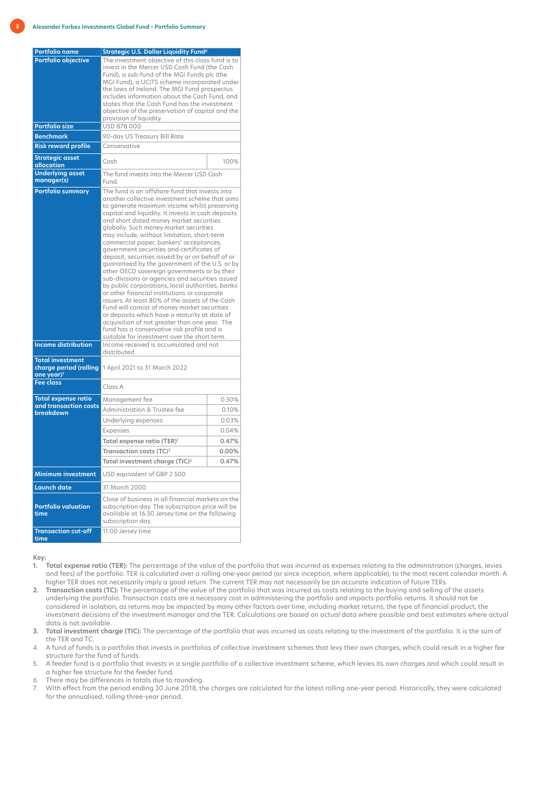| Portfolio name                                                              | <b>Strategic U.S. Dollar Liquidity Fund<sup>8</sup></b>                                                                                                                                                                                                                                                                                                                                                                                                                                                                                                                                                                                                                                                                                                                                                                                                                                                                                                                                                                                            |       |  |  |  |
|-----------------------------------------------------------------------------|----------------------------------------------------------------------------------------------------------------------------------------------------------------------------------------------------------------------------------------------------------------------------------------------------------------------------------------------------------------------------------------------------------------------------------------------------------------------------------------------------------------------------------------------------------------------------------------------------------------------------------------------------------------------------------------------------------------------------------------------------------------------------------------------------------------------------------------------------------------------------------------------------------------------------------------------------------------------------------------------------------------------------------------------------|-------|--|--|--|
| <b>Portfolio objective</b><br><b>Portfolio size</b>                         | The investment objective of this class fund is to<br>invest in the Mercer USD Cash Fund (the Cash<br>Fund), a sub-fund of the MGI Funds plc (the<br>MGI Fund), a UCITS scheme incorporated under<br>the laws of Ireland. The MGI Fund prospectus<br>includes information about the Cash Fund, and<br>states that the Cash Fund has the investment<br>objective of the preservation of capital and the<br>provision of liquidity.<br>USD 878 000                                                                                                                                                                                                                                                                                                                                                                                                                                                                                                                                                                                                    |       |  |  |  |
| <b>Benchmark</b>                                                            | 90-day US Treasury Bill Rate                                                                                                                                                                                                                                                                                                                                                                                                                                                                                                                                                                                                                                                                                                                                                                                                                                                                                                                                                                                                                       |       |  |  |  |
| <b>Risk reward profile</b>                                                  | Conservative                                                                                                                                                                                                                                                                                                                                                                                                                                                                                                                                                                                                                                                                                                                                                                                                                                                                                                                                                                                                                                       |       |  |  |  |
| <b>Strategic asset</b><br>allocation                                        | Cash                                                                                                                                                                                                                                                                                                                                                                                                                                                                                                                                                                                                                                                                                                                                                                                                                                                                                                                                                                                                                                               | 100%  |  |  |  |
| <b>Underlying asset</b><br>manager(s)                                       | The fund invests into the Mercer USD Cash<br>Fund.                                                                                                                                                                                                                                                                                                                                                                                                                                                                                                                                                                                                                                                                                                                                                                                                                                                                                                                                                                                                 |       |  |  |  |
| <b>Portfolio summary</b>                                                    | The fund is an offshore fund that invests into<br>another collective investment scheme that aims<br>to generate maximum income whilst preserving<br>capital and liquidity. It invests in cash deposits<br>and short dated money market securities<br>globally. Such money market securities<br>may include, without limitation, short-term<br>commercial paper, bankers' acceptances,<br>government securities and certificates of<br>deposit, securities issued by or on behalf of or<br>guaranteed by the government of the U.S. or by<br>other OECD sovereign governments or by their<br>sub-divisions or agencies and securities issued<br>by public corporations, local authorities, banks<br>or other financial institutions or corporate<br>issuers. At least 80% of the assets of the Cash<br>Fund will consist of money market securities<br>or deposits which have a maturity at date of<br>acquisition of not greater than one year. The<br>fund has a conservative risk profile and is<br>suitable for investment over the short term. |       |  |  |  |
| <b>Income distribution</b>                                                  | Income received is accumulated and not<br>distributed.                                                                                                                                                                                                                                                                                                                                                                                                                                                                                                                                                                                                                                                                                                                                                                                                                                                                                                                                                                                             |       |  |  |  |
| <b>Total investment</b><br>charge period (rolling<br>one year) <sup>7</sup> | 1 April 2021 to 31 March 2022                                                                                                                                                                                                                                                                                                                                                                                                                                                                                                                                                                                                                                                                                                                                                                                                                                                                                                                                                                                                                      |       |  |  |  |
| <b>Fee class</b>                                                            | Class A                                                                                                                                                                                                                                                                                                                                                                                                                                                                                                                                                                                                                                                                                                                                                                                                                                                                                                                                                                                                                                            |       |  |  |  |
| <b>Total expense ratio</b><br>and transaction costs                         | Management fee                                                                                                                                                                                                                                                                                                                                                                                                                                                                                                                                                                                                                                                                                                                                                                                                                                                                                                                                                                                                                                     | 0.30% |  |  |  |
| breakdown                                                                   | Administration & Trustee fee                                                                                                                                                                                                                                                                                                                                                                                                                                                                                                                                                                                                                                                                                                                                                                                                                                                                                                                                                                                                                       | 0.10% |  |  |  |
|                                                                             | Underlying expenses                                                                                                                                                                                                                                                                                                                                                                                                                                                                                                                                                                                                                                                                                                                                                                                                                                                                                                                                                                                                                                | 0.03% |  |  |  |
|                                                                             | Expenses                                                                                                                                                                                                                                                                                                                                                                                                                                                                                                                                                                                                                                                                                                                                                                                                                                                                                                                                                                                                                                           | 0.04% |  |  |  |
|                                                                             | Total expense ratio (TER) <sup>1</sup>                                                                                                                                                                                                                                                                                                                                                                                                                                                                                                                                                                                                                                                                                                                                                                                                                                                                                                                                                                                                             | 0.47% |  |  |  |
|                                                                             | Transaction costs (TC) <sup>2</sup>                                                                                                                                                                                                                                                                                                                                                                                                                                                                                                                                                                                                                                                                                                                                                                                                                                                                                                                                                                                                                | 0.00% |  |  |  |
|                                                                             | Total investment charge (TIC) <sup>3</sup>                                                                                                                                                                                                                                                                                                                                                                                                                                                                                                                                                                                                                                                                                                                                                                                                                                                                                                                                                                                                         | 0.47% |  |  |  |
| <b>Minimum investment</b>                                                   | USD equivalent of GBP 2 500                                                                                                                                                                                                                                                                                                                                                                                                                                                                                                                                                                                                                                                                                                                                                                                                                                                                                                                                                                                                                        |       |  |  |  |
| <b>Launch date</b>                                                          | 31 March 2000                                                                                                                                                                                                                                                                                                                                                                                                                                                                                                                                                                                                                                                                                                                                                                                                                                                                                                                                                                                                                                      |       |  |  |  |
| <b>Portfolio valuation</b><br>time                                          | Close of business in all financial markets on the<br>subscription day. The subscription price will be<br>available at 16:30 Jersey time on the following<br>subscription day.                                                                                                                                                                                                                                                                                                                                                                                                                                                                                                                                                                                                                                                                                                                                                                                                                                                                      |       |  |  |  |
| <b>Transaction cut-off</b><br>time                                          | 11:00 Jersey time                                                                                                                                                                                                                                                                                                                                                                                                                                                                                                                                                                                                                                                                                                                                                                                                                                                                                                                                                                                                                                  |       |  |  |  |

**Key:**

- **1. Total expense ratio (TER):** The percentage of the value of the portfolio that was incurred as expenses relating to the administration (charges, levies and fees) of the portfolio. TER is calculated over a rolling one-year period (or since inception, where applicable), to the most recent calendar month. A higher TER does not necessarily imply a good return. The current TER may not necessarily be an accurate indication of future TERs.
- **2. Transaction costs (TC):** The percentage of the value of the portfolio that was incurred as costs relating to the buying and selling of the assets underlying the portfolio. Transaction costs are a necessary cost in administering the portfolio and impacts portfolio returns. It should not be considered in isolation, as returns may be impacted by many other factors over time, including market returns, the type of financial product, the investment decisions of the investment manager and the TER. Calculations are based on actual data where possible and best estimates where actual data is not available.
- **3. Total investment charge (TIC):** The percentage of the portfolio that was incurred as costs relating to the investment of the portfolio. It is the sum of the TER and TC.
- 4. A fund of funds is a portfolio that invests in portfolios of collective investment schemes that levy their own charges, which could result in a higher fee structure for the fund of funds.
- 5. A feeder fund is a portfolio that invests in a single portfolio of a collective investment scheme, which levies its own charges and which could result in a higher fee structure for the feeder fund.
- 6. There may be differences in totals due to rounding.
- 7. With effect from the period ending 30 June 2018, the charges are calculated for the latest rolling one-year period. Historically, they were calculated for the annualised, rolling three-year period.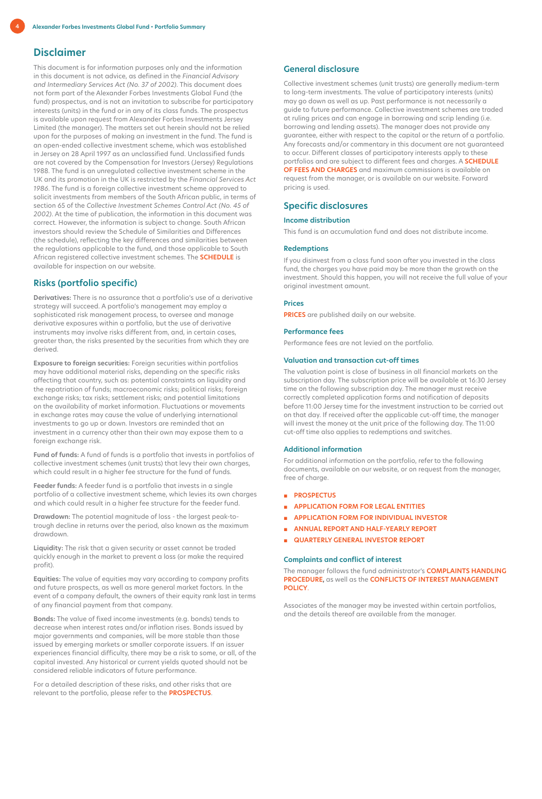# **Disclaimer**

This document is for information purposes only and the information in this document is not advice, as defined in the *Financial Advisory and Intermediary Services Act (No. 37 of 2002)*. This document does not form part of the Alexander Forbes Investments Global Fund (the fund) prospectus, and is not an invitation to subscribe for participatory interests (units) in the fund or in any of its class funds. The prospectus is available upon request from Alexander Forbes Investments Jersey Limited (the manager). The matters set out herein should not be relied upon for the purposes of making an investment in the fund. The fund is an open-ended collective investment scheme, which was established in Jersey on 28 April 1997 as an unclassified fund. Unclassified funds are not covered by the Compensation for Investors (Jersey) Regulations 1988. The fund is an unregulated collective investment scheme in the UK and its promotion in the UK is restricted by the *Financial Services Act 1986*. The fund is a foreign collective investment scheme approved to solicit investments from members of the South African public, in terms of section 65 of the *Collective Investment Schemes Control Act (No. 45 of 2002)*. At the time of publication, the information in this document was correct. However, the information is subject to change. South African investors should review the Schedule of Similarities and Differences (the schedule), reflecting the key differences and similarities between the regulations applicable to the fund, and those applicable to South African registered collective investment schemes. The **[SCHEDULE](https://www.alexanderforbesinvestments.co.je/Documentation/DownloadFile?mappingName=IsJersey&fileName=SGF_Similarities_and_Differences.pdf)** is available for inspection on our website.

# **Risks (portfolio specific)**

**Derivatives:** There is no assurance that a portfolio's use of a derivative strategy will succeed. A portfolio's management may employ a sophisticated risk management process, to oversee and manage derivative exposures within a portfolio, but the use of derivative instruments may involve risks different from, and, in certain cases, greater than, the risks presented by the securities from which they are derived.

**Exposure to foreign securities:** Foreign securities within portfolios may have additional material risks, depending on the specific risks affecting that country, such as: potential constraints on liquidity and the repatriation of funds; macroeconomic risks; political risks; foreign exchange risks; tax risks; settlement risks; and potential limitations on the availability of market information. Fluctuations or movements in exchange rates may cause the value of underlying international investments to go up or down. Investors are reminded that an investment in a currency other than their own may expose them to a foreign exchange risk.

**Fund of funds:** A fund of funds is a portfolio that invests in portfolios of collective investment schemes (unit trusts) that levy their own charges, which could result in a higher fee structure for the fund of funds.

**Feeder funds:** A feeder fund is a portfolio that invests in a single portfolio of a collective investment scheme, which levies its own charges and which could result in a higher fee structure for the feeder fund.

**Drawdown:** The potential magnitude of loss - the largest peak-totrough decline in returns over the period, also known as the maximum drawdown.

**Liquidity:** The risk that a given security or asset cannot be traded quickly enough in the market to prevent a loss (or make the required profit).

**Equities:** The value of equities may vary according to company profits and future prospects, as well as more general market factors. In the event of a company default, the owners of their equity rank last in terms of any financial payment from that company.

**Bonds:** The value of fixed income investments (e.g. bonds) tends to decrease when interest rates and/or inflation rises. Bonds issued by major governments and companies, will be more stable than those issued by emerging markets or smaller corporate issuers. If an issuer experiences financial difficulty, there may be a risk to some, or all, of the capital invested. Any historical or current yields quoted should not be considered reliable indicators of future performance.

For a detailed description of these risks, and other risks that are relevant to the portfolio, please refer to the **[PROSPECTUS](https://www.alexanderforbesinvestments.co.je/Documentation/DownloadFile?mappingName=IsJersey&fileName=Prospectus.pdf)**.

# **General disclosure**

Collective investment schemes (unit trusts) are generally medium-term to long-term investments. The value of participatory interests (units) may go down as well as up. Past performance is not necessarily a guide to future performance. Collective investment schemes are traded at ruling prices and can engage in borrowing and scrip lending (i.e. borrowing and lending assets). The manager does not provide any guarantee, either with respect to the capital or the return of a portfolio. Any forecasts and/or commentary in this document are not guaranteed to occur. Different classes of participatory interests apply to these portfolios and are subject to different fees and charges. A **[SCHEDULE](https://www.alexanderforbesinvestments.co.je/DownloadCentre/Forms)  [OF FEES AND CHARGES](https://www.alexanderforbesinvestments.co.je/DownloadCentre/Forms)** and maximum commissions is available on request from the manager, or is available on our website. Forward pricing is used.

# **Specific disclosures**

#### **Income distribution**

This fund is an accumulation fund and does not distribute income.

#### **Redemptions**

If you disinvest from a class fund soon after you invested in the class fund, the charges you have paid may be more than the growth on the investment. Should this happen, you will not receive the full value of your original investment amount.

#### **Prices**

**[PRICES](https://www.alexanderforbesinvestments.co.je/DownloadCentre/DailyUnitPrices)** are published daily on our website.

# **Performance fees**

Performance fees are not levied on the portfolio.

# **Valuation and transaction cut-off times**

The valuation point is close of business in all financial markets on the subscription day. The subscription price will be available at 16:30 Jersey time on the following subscription day. The manager must receive correctly completed application forms and notification of deposits before 11:00 Jersey time for the investment instruction to be carried out on that day. If received after the applicable cut-off time, the manager will invest the money at the unit price of the following day. The 11:00 cut-off time also applies to redemptions and switches.

#### **Additional information**

For additional information on the portfolio, refer to the following documents, available on our website, or on request from the manager, free of charge.

- **[PROSPECTUS](https://www.alexanderforbesinvestments.co.je/Documentation/DownloadFile?mappingName=IsJersey&fileName=Prospectus.pdf)**
- **[APPLICATION FORM FOR LEGAL ENTITIES](https://www.alexanderforbesinvestments.co.je/Documentation/DownloadFile?mappingName=IsJersey&fileName=SGFJerseyApplication_Form-LegalEntities.pdf)**
- **[APPLICATION FORM FOR INDIVIDUAL INVESTOR](https://www.alexanderforbesinvestments.co.je/Documentation/DownloadFile?mappingName=IsJersey&fileName=SGFJerseyApplication_Form-IndividualInvestors.pdf)**
- **[ANNUAL REPORT AND HALF-YEARLY REPORT](https://www.alexanderforbesinvestments.co.je/DownloadCentre/Information)**
- **[QUARTERLY GENERAL INVESTOR REPORT](https://www.alexanderforbesinvestments.co.je/Documentation/DownloadFile?mappingName=IsJersey&fileName=AFIJ_InvestorReport.pdf)**

#### **Complaints and conflict of interest**

The manager follows the fund administrator's **C[OMPLAINTS HANDLING](https://www.alexanderforbesinvestments.co.za/about-us/risk-and-compliance)  [PROCEDURE](https://www.alexanderforbesinvestments.co.za/about-us/risk-and-compliance)**, as well as the **[CONFLICTS OF INTEREST MANAGEMENT](https://www.alexanderforbesinvestments.co.za/about-us/risk-and-compliance)  [POLICY](https://www.alexanderforbesinvestments.co.za/about-us/risk-and-compliance)**.

Associates of the manager may be invested within certain portfolios, and the details thereof are available from the manager.